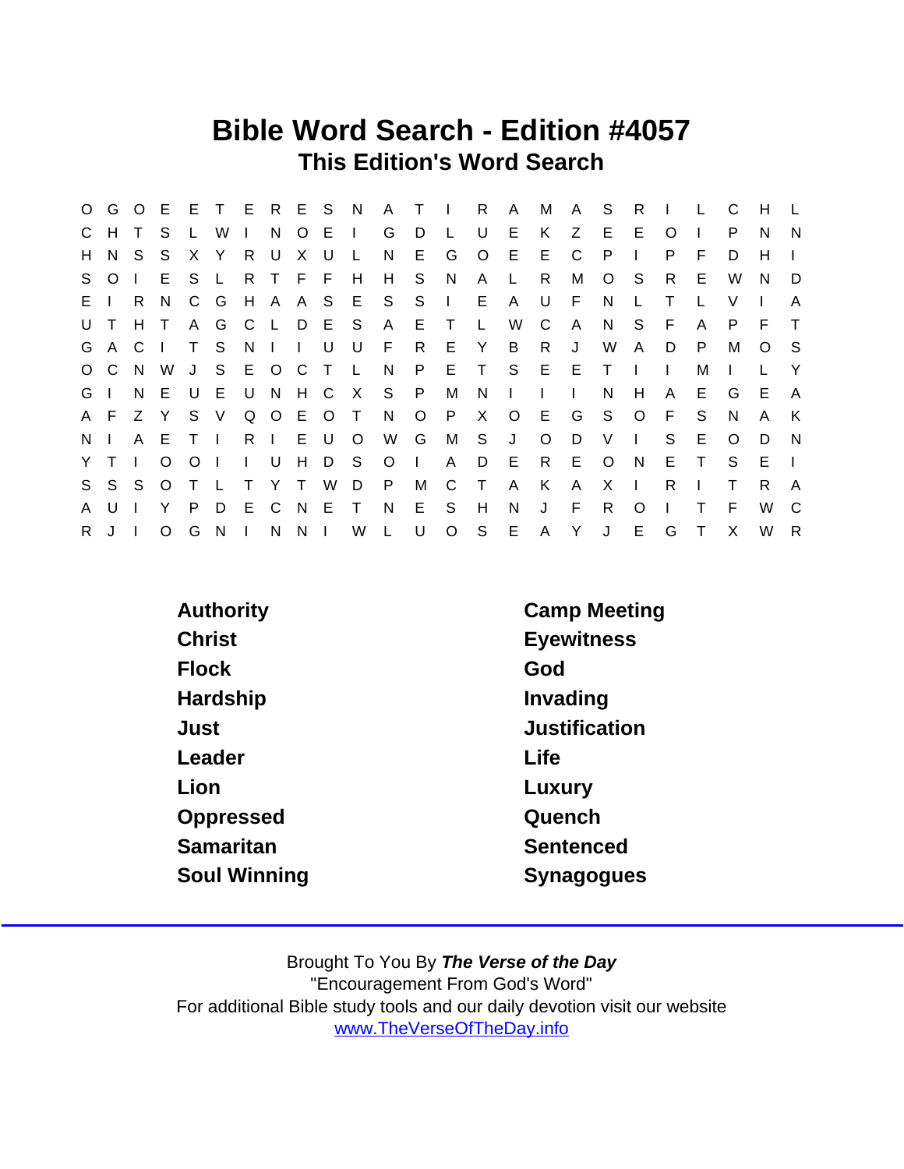## Bible Word Search - Edition #4057 This Edition's Word Search

|                |         |       | O G O E E T E R E S N |                |              |              |                     |         |               |              | A T          |         | $\sim 1$ .   | R            | A            | M            | A            | <sub>S</sub> | R            | $\mathbf{I}$ |              | C            | H            |        |
|----------------|---------|-------|-----------------------|----------------|--------------|--------------|---------------------|---------|---------------|--------------|--------------|---------|--------------|--------------|--------------|--------------|--------------|--------------|--------------|--------------|--------------|--------------|--------------|--------|
|                | C H     |       | S                     |                | W            |              | N                   | $\circ$ | $E \cup$      |              | G            | D       | $\mathsf{L}$ | U            | E.           | K            | Z            | E.           | E.           | O            |              | P            | N.           | N      |
| H.             | N.      | -S    | S.                    | X.             | Y            | R            | U                   | X       | U             | $\mathsf{L}$ | N.           | E.      | G            | $\circ$      | E            | E            | C            | P            |              | P            | F            | D.           | H            |        |
|                | S O     |       | E                     | S.             | L            |              | R T F F             |         |               | H            | H            | S.      | <sup>N</sup> | A            | L.           | R.           | м            | O            | -S           | R.           | E.           | W            | <sup>N</sup> | D      |
| $E \mid \cdot$ |         | R.    | N.                    | $\mathsf{C}$   | G            |              |                     |         |               | H A A S E S  |              | S.      | $\Box$       | E.           | $\mathsf{A}$ | U            | F            | N            | L            | Т            |              | V            |              |        |
| U T            |         | $H$ T |                       |                |              |              |                     |         | A G C L D E S |              | $\mathsf{A}$ | ET      |              | L.           | W            | C            | $\mathsf{A}$ | N.           | S.           | -F           | A            | P            | F.           | $\top$ |
|                | G A C   |       | $\mathbf{I}$          |                | T S          |              | $N \mid \cdot \mid$ |         | U             | U            | F.           | R.      | E Y          |              | B            | R.           | J            | W            | A            | D            | P            | М            | $\circ$      | - S    |
|                | $O$ $C$ | N.    | W                     |                | J S E O C    |              |                     |         | $\top$        | $\mathsf{L}$ | N.           | P.      | E.           | $\top$       | S            | E            | E            | $\top$       |              |              | м            |              |              | -Y     |
| G I            |         | N.    | - E                   | U              | E U N        |              |                     | H C     |               | $\mathsf{X}$ | S P          |         | M            | N            | $\sim 1$ .   | $\mathbf{I}$ | $\mathbf{L}$ | N            | H            | A            | E.           | G            | E.           | A      |
|                | A F     | Z Y   |                       |                | S V          |              |                     |         | Q O E O T     |              | N            | $\circ$ | P.           | X            | $\circ$      | E.           | G            | S.           | $\circ$      | - F          | S.           | N            | A            | K      |
| N <sub>1</sub> |         | A E   |                       | T <sub>1</sub> |              |              | R I                 | E.      | - U           | $\circ$      | W            | G       | M            | S            | J            | $\circ$      | D            | V            | $\mathbf{L}$ | S            | E.           | $\Omega$     | D            | N      |
| Y.             | $\top$  |       | $\circ$               | $\circ$        | $\mathbf{I}$ | $\mathbf{L}$ | U                   | H       | D S           |              | $\circ$      | $\Box$  | A            | D            | E            | $\mathsf{R}$ | E            | $\circ$      | N.           | E.           | $\mathsf{T}$ | S.           | E.           |        |
| S              | S S     |       | O T                   |                | $\mathbf{L}$ | $\top$       | Y T                 |         | W             | D            | P.           | М       | C            | $\top$       | $\mathsf{A}$ | K            | A            | X.           | $\mathbf{I}$ | R.           |              |              | R.           | A      |
| A              | U       |       | Y                     | P              | D            |              |                     |         | E C N E       | $\top$       | N            | E.      | S.           | H            | N            | J            | F            | R.           | $\Omega$     |              |              | F            | W            | C      |
| R.             | $\cdot$ |       | $\circ$               | G              | $N$          |              | N                   | N I     |               | W            | $\mathsf{L}$ | U       | $\circ$      | $\mathsf{S}$ | E            | A Y          |              | J            | E.           | G            | $\mathsf{T}$ | $\mathsf{X}$ | W            | R      |

| Authority     | <b>Camp Meeting</b> |
|---------------|---------------------|
| <b>Christ</b> | <b>Eyewitness</b>   |
| <b>Flock</b>  | God                 |
| Hardship      | Invading            |
| Just          | Justification       |
| Leader        | Life                |
| Lion          | Luxury              |
| Oppressed     | Quench              |
| Samaritan     | Sentenced           |
| Soul Winning  | Synagogues          |
|               |                     |

Brought To You By The Verse of the Day "Encouragement From God's Word" For additional Bible study tools and our daily devotion visit our website [www.TheVerseOfTheDay.info](https://www.TheVerseOfTheDay.info)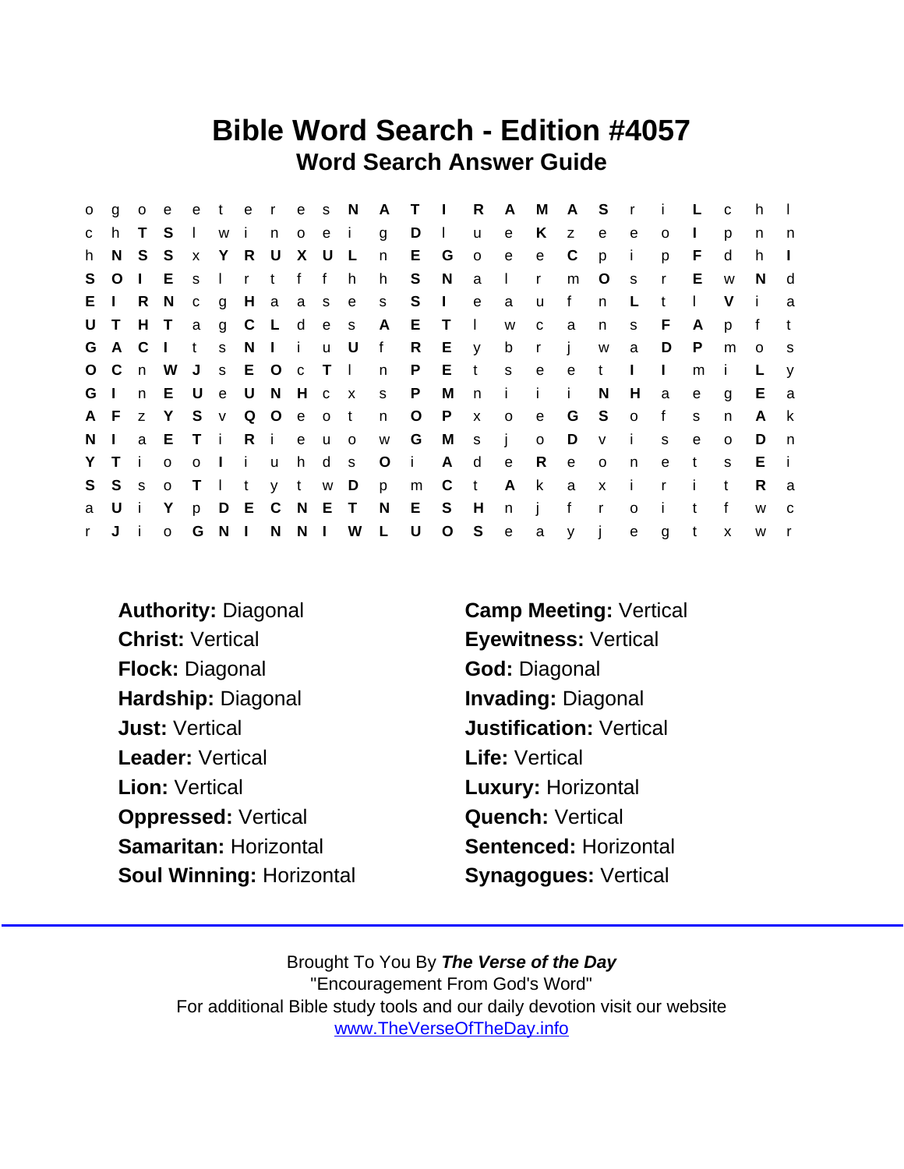## Bible Word Search - Edition #4057 Word Search Answer Guide

| $\mathsf{O}$ | q       | $\circ$ | e                       |              |       |               |         |           |           |                     |                      |         | eteres NATIRA               |              |      | M A S r      |                | i L          |              | $\mathbf{C}$ | h            |              |
|--------------|---------|---------|-------------------------|--------------|-------|---------------|---------|-----------|-----------|---------------------|----------------------|---------|-----------------------------|--------------|------|--------------|----------------|--------------|--------------|--------------|--------------|--------------|
| $\mathbf{C}$ | h.      |         | S.                      |              | I w i | no e i        |         |           | g         | $D \mid$            |                      |         | u e K z                     |              |      | e            | e              | $\circ$      | $\mathbf{L}$ | D            | n            | n            |
| h.           | N S S   |         |                         | x Y R U      |       |               | X U L   |           | n         | E G                 |                      | $\circ$ | $-e$                        | e C          |      | p            | - i            | p            | F            | d            | h.           | $\mathbf{I}$ |
|              |         |         | S O I E S               |              |       | Irtffh        |         |           | h         |                     | S N a                |         | $\blacksquare$              | $\mathsf{r}$ | m    | $\circ$      | s r            |              | E.           | W            | N.           | d            |
| EI.          |         |         | R N                     |              |       |               |         |           |           | c g H a a s e s S I |                      | e       | $\mathbf{a}$                | <b>u</b>     | f    | n            | L.             | t            | $\perp$      | V            | $\mathbf{I}$ | a            |
|              | UTHT    |         |                         |              |       |               |         |           |           |                     | ag C L d e s A E T I |         |                             | w c a        |      | n            | S              | F            | $\mathsf{A}$ | p            | f            | $-t$         |
|              | G A C   |         | $\Box$                  | $\mathbf{t}$ |       | s N I i u U   |         |           | $-f$      |                     | R E y                |         | b r j                       |              |      | W            | a              | D            | $\mathsf{P}$ | m            | $\circ$      | S            |
|              | O C n W |         |                         |              |       | J s E O c T I |         |           |           |                     |                      |         | n P E t s e e               |              |      | $-t$         | $\Box$         | $\mathbf{I}$ | m            | $\mathbf{I}$ | L            | V            |
| G I          |         |         | n EU                    |              |       | e U N H c x   |         |           | s P       |                     | M                    | n       | i i i                       |              |      | N            | H              | a            | $\mathbf{e}$ | q            | E.           | a            |
|              | A F z Y |         |                         |              |       |               |         |           |           |                     | SvQOeotnOPx          |         | o e G S o f                 |              |      |              |                |              | S            | n            | $\mathsf{A}$ | $\mathsf{k}$ |
| $N \mid$     |         |         | a E T i R i e u o       |              |       |               |         |           | W         |                     | G M s j              |         |                             | $\circ$      | D    | V            | $\mathbf{i}$   | S            | $\mathbf{e}$ | $\Omega$     | D            | n            |
|              | Y T i   |         | $\circ$                 |              |       | oliu          |         |           | h d s O i |                     |                      | A d e   |                             | R            | $-e$ | $\circ$      | n              | e            | t            | S.           | $E - i$      |              |
|              | S S s   |         | $\overline{\mathbf{O}}$ | $T \perp t$  |       |               | y t w D |           |           | p m C               |                      | $-t$    |                             | A k a        |      | $\mathbf{X}$ | $\blacksquare$ | $\mathsf{r}$ | - i -        | $\mathbf{t}$ | R.           | a            |
| a            | Ui      |         | Y.                      |              |       |               |         |           |           |                     |                      |         | p D E C N E T N E S H n j f |              |      | $\mathbf{r}$ | $\circ$        | $\mathbf{I}$ | $-t$         | $\mathsf{f}$ | W            | $\mathbf{C}$ |
| $r =$        | J i     |         | $\Omega$                | G            | $N$   |               |         | N N I W L |           | <b>U</b>            | $O_S$                |         | e a y j                     |              |      |              |                | e g t        |              | $\mathsf{x}$ | w r          |              |

Christ: Vertical **Eyewitness: Vertical** Flock: Diagonal God: Diagonal Hardship: Diagonal **Invading: Diagonal** Just: Vertical Justification: Vertical Leader: Vertical **Life:** Vertical Lion: Vertical **Luxury: Horizontal** Oppressed: Vertical **Quench: Vertical** Samaritan: Horizontal Sentenced: Horizontal Soul Winning: Horizontal Synagogues: Vertical

Authority: Diagonal **Camp Meeting: Vertical** 

Brought To You By The Verse of the Day "Encouragement From God's Word" For additional Bible study tools and our daily devotion visit our website [www.TheVerseOfTheDay.info](https://www.TheVerseOfTheDay.info)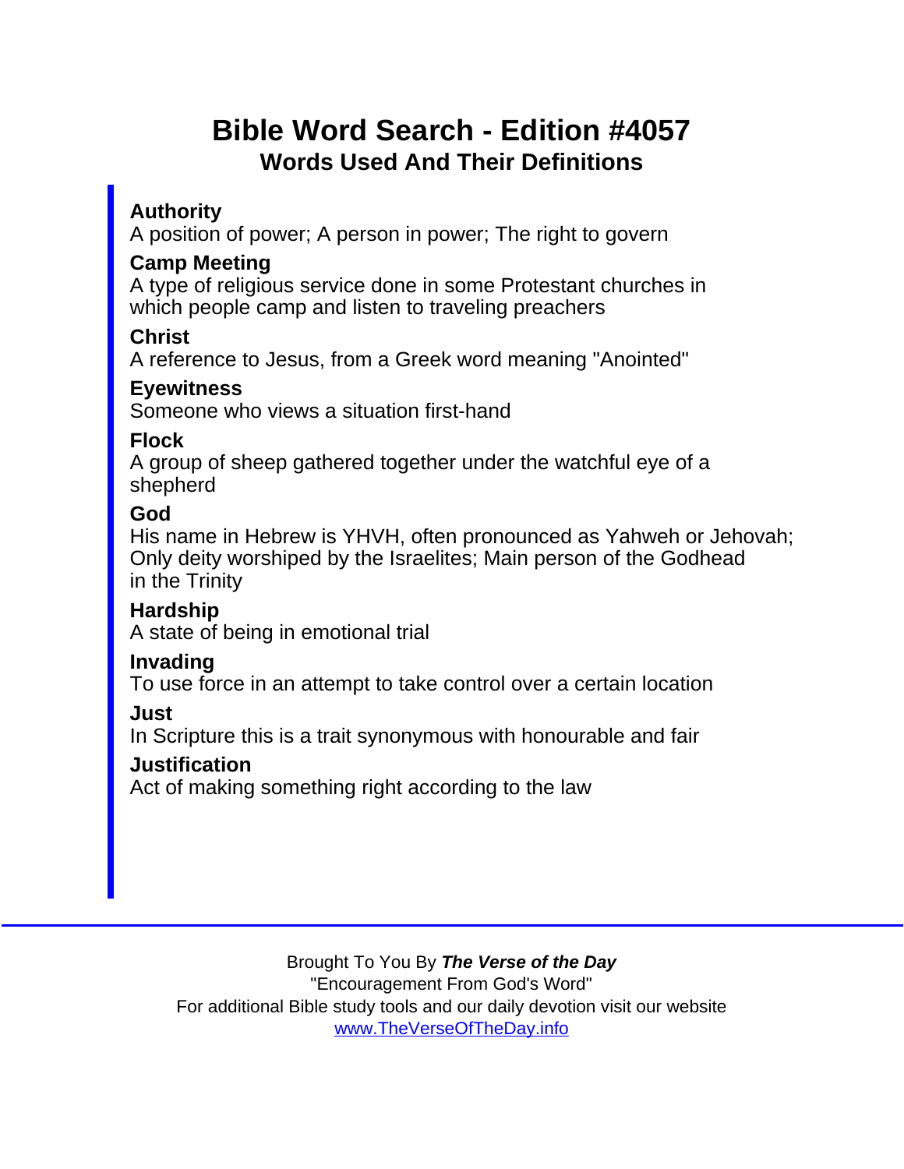## Bible Word Search - Edition #4057 Words Used And Their Definitions

Authority

A position of power; A person in power; The right to govern

Camp Meeting

A type of religious service done in some Protestant churches in which people camp and listen to traveling preachers

**Christ** 

A reference to Jesus, from a Greek word meaning "Anointed"

Eyewitness

Someone who views a situation first-hand

Flock

A group of sheep gathered together under the watchful eye of a shepherd

God

His name in Hebrew is YHVH, often pronounced as Yahweh or Jehovah; Only deity worshiped by the Israelites; Main person of the Godhead in the Trinity

Hardship

A state of being in emotional trial

Invading

To use force in an attempt to take control over a certain location

Just

In Scripture this is a trait synonymous with honourable and fair

**Justification** 

Act of making something right according to the law

Brought To You By The Verse of the Day

"Encouragement From God's Word"

For additional Bible study tools and our daily devotion visit our website

[www.TheVerseOfTheDay.info](https://www.TheVerseOfTheDay.info)